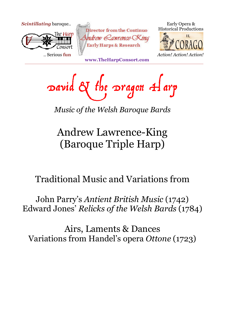

David  $\&$  the pragon  $\pm$  ary

*Music of the Welsh Baroque Bards* 

# Andrew Lawrence-King (Baroque Triple Harp)

## Traditional Music and Variations from

John Parry's *Antient British Music* (1742) Edward Jones' *Relicks of the Welsh Bards* (1784)

Airs, Laments & Dances Variations from Handel's opera *Ottone* (1723)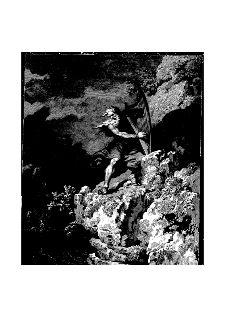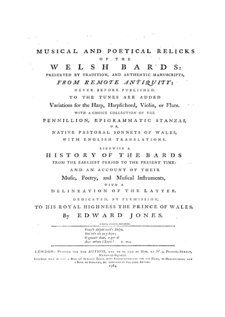### MUSICAL AND POETICAL RELICKS  $O$  F., T H E

#### WELSH BAR<sup>s</sup>D  $s_{\cdot}$

PRESERVED BY TRADITION, AND AUTHENTIC MANUSCRIPTS,

FROM REMOTE ANTIQUITY:

NEVER BEFORE PUBLISHED.

TO THE TUNES ARE ADDED

Variations for the Harp, Harpfichord, Violin, or Flute. WITH A CHOICE COLLECTION OF THE '

PENNILLION, EPIGRAMMATIC STANZAS,

NATIVE PASTORAL SONNETS OF WALES. WITH ENGLISH TRANSLATIONS.

LIKEWISE A

### HISTORY OF THE BARDS

FROM THE EARLIEST PERIOD TO THE PRESENT TIME:

AND AN ACCOUNT OF THEIR

Mufic, Poetry, and Mufical Inftruments,

WITH A

DELINEATION OF THE LATTER.

DEDICATED, BY PERMISSION,

TO HIS ROYAL HIGHNESS THE PRINCE OF WALES.

By EDWARD JONES.

| al basiles, Chastered, Birdharthine. |  |
|--------------------------------------|--|
|                                      |  |
| Truy'r delydd tars'r Delyn,          |  |
| Oni bo'r lâs yn y bryn y             |  |
| O gyppair dagt, a gyr di             |  |
| Aur orboca i Eryri ! 6. own.         |  |
|                                      |  |

LONDON: PRINTED FOR THE AUTHOR, AND TO BE HAD OF HIM, AT Nº. O. PRINCES-STARKT, HANOVER-SQUARE.

LISTWEST NAY ALLOW A BOOK OF IVALIAN SONGS, MITH ACCOMPANYMENTS TON THE HAAP, OR HARTSTOROUDY AND A BOOM OF SOMATAS, Sr. CONFORD IN THE SAME AUTHOR.

 $178.4.$ 

 $O-B<sub>2</sub>$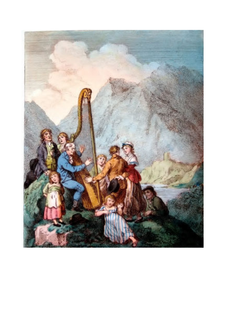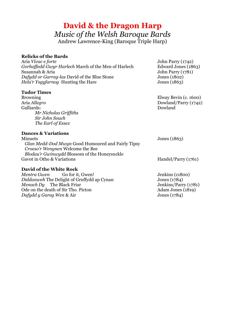## **David & the Dragon Harp**  *Music of the Welsh Baroque Bards*

Andrew Lawrence-King (Baroque Triple Harp)

#### **Relicks of the Bards**

Aria *Vivac e forte* John Parry (1742) *Gorhoffedd Gwyr Harlech March of the Men of Harlech* Edward Jones (1863)<br>Susannah & Aria degree of the Men of Harlech *John Parry* (1781) *Dafudd or Garreg-las David of the Blue Stone* Jones (1802) *Hela'r Ysgyfarnog* Hunting the Hare Jones (1863)

#### **Tudor Times**

Browning Elway Bevin (c. 1600) Aria *Allegro* Dowland/Parry (1742) Galliards: Dowland *Mr Nicholas Griffiths Sir John Souch The Earl of Essex*

### **Dances & Variations**

| <b>Minuets</b>                                      | Jones $(1863)$        |
|-----------------------------------------------------|-----------------------|
| Glan Medd-Dod Mwyn Good Humoured and Fairly Tipsy   |                       |
| <i>Croeso'r Wenynen</i> Welcome the Bee             |                       |
| <i>Blodau'r Gwinwydd Blossom of the Honeysuckle</i> |                       |
| Gavot in Otho & Variations                          | Handel/Parry $(1761)$ |
|                                                     |                       |

#### **David of the White Rock**

*Mentra Gwen* Go for it, Gwen! Jenkins (c1800) *Diddanweh* The Delight of Gruffydd ap Cynan Jones (1784) *Menach Dy* The Black Friar Jenkins/Parry (1781) Ode on the death of Sir Tho. Picton Adam Jones (1819) *Dafydd y Gareg Wen* & Air Jones (1784)

John Parry (1781)